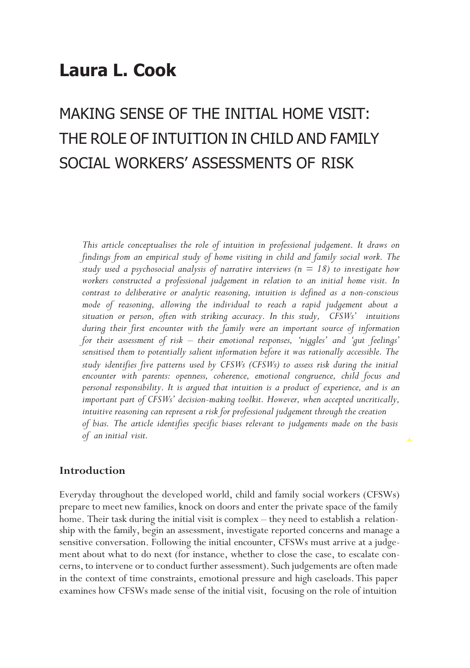## **Laura L. Cook**

# <span id="page-0-1"></span>MAKING SENSE OF THE INITIAL HOME VISIT: THE ROLE OF INTUITION IN CHILD AND FAMILY SOCIAL WORKERS' ASSESSMENTS OF RISK

*This article conceptualises the role of intuition in professional judgement. It draws on findings from an empirical study of home visiting in child and family social work. The study used a psychosocial analysis of narrative interviews (n = 18) to investigate how*  workers constructed a professional judgement in relation to an initial home visit. In *contrast to deliberative or analytic reasoning, intuition is defined as a non-conscious mode of reasoning, allowing the individual to reach a rapid judgement about a situation or person, often with striking accuracy. In this study, CFSWs' intuitions during their first encounter with the family were an important source of information for their assessment of risk – their emotional responses, 'niggles' and 'gut feelings' sensitised them to potentially salient information before it was rationally accessible. The study identifies five patterns used by CFSWs (CFSWs) to assess risk during the initial encounter with parents: openness, coherence, emotional congruence, child focus and personal responsibility. It is argued that intuition is a product of experience, and is an important part of CFSWs' decision-making toolkit. However, when accepted uncritically, intuitive reasoning can represent a risk for professional judgement through the creation of bias. The article identifies specific biases relevant to judgements made on the basis of an initial visit.*

#### **Introduction**

<span id="page-0-0"></span>Everyday throughout the developed world, child and family social workers (CFSWs) prepare to meet new families, knock on doors and enter the private space of the family home. Their task during the initial visit is complex – they need to establish a relationship with the family, begin an assessment, investigate reported concerns and manage a sensitive conversation. Following the initial encounter, CFSWs must arrive at a judgement about what to do next (for instance, whether to close the case, to escalate concerns, to intervene or to conduct further assessment). Such judgements are often made in the context of time constraints, emotional pressure and high caseloads.This paper examines how CFSWs made sense of the initial visit, focusing on the role of intuition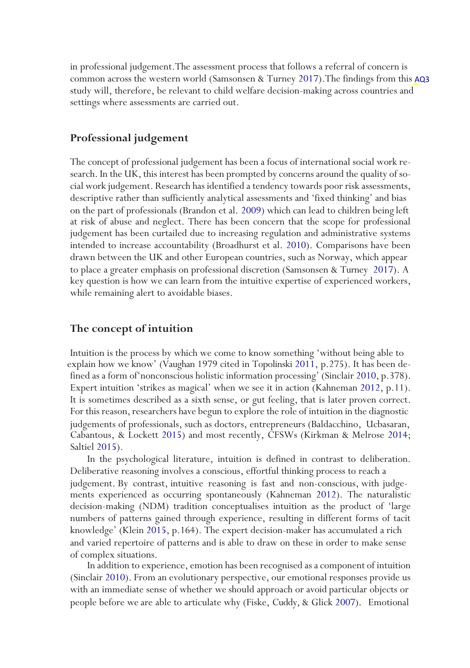in professional judgement.The assessment process that follows a referral of concern is common across the western world (Samsonsen & Turney [2017\)](#page-6-0).The findings from this AQ3 study will, therefore, be relevant to child welfare decision-making across countries and settings where assessments are carried out.

#### **Professional judgement**

<span id="page-1-0"></span>The concept of professional judgement has been a focus of international social work research. In the UK, this interest has been prompted by concerns around the quality of social work judgement. Research has identified a tendency towards poor risk assessments, descriptive rather than sufficiently analytical assessments and 'fixed thinking' and bias on the part of professionals (Brandon et al. [2009\)](#page-8-0) which can lead to children being left at risk of abuse and neglect. There has been concern that the scope for professional judgement has been curtailed due to increasing regulation and administrative systems intended to increase accountability (Broadhurst et al. [2010\)](#page-5-0). Comparisons have been drawn between the UK and other European countries, such as Norway, which appear to place a greater emphasis on professional discretion (Samsonsen & Turney [2017\)](#page-6-0). A key question is how we can learn from the intuitive expertise of experienced workers, while remaining alert to avoidable biases.

#### **The concept of intuition**

Intuition is the process by which we come to know something 'without being able to explain how we know' (Vaughan 1979 cited in Topolinski [2011,](#page-0-0) p.275). It has been defined as a form of'nonconscious holistic information processing' (Sinclair [2010,](#page-6-1) p.378). Expert intuition 'strikes as magical' when we see it in action (Kahneman [2012,](#page-6-2) p.11). It is sometimes described as a sixth sense, or gut feeling, that is later proven correct. For this reason, researchers have begun to explore the role of intuition in the diagnostic judgements of professionals, such as doctors, entrepreneurs (Baldacchino, Ucbasaran, Cabantous, & Lockett [2015\)](#page-8-1) and most recently, CFSWs (Kirkman & Melrose [2014;](#page-3-0) Saltiel [2015\)](#page-3-1).

In the psychological literature, intuition is defined in contrast to deliberation. Deliberative reasoning involves a conscious, effortful thinking process to reach a judgement. By contrast, intuitive reasoning is fast and non-conscious, with judgements experienced as occurring spontaneously (Kahneman [2012\)](#page-6-2). The naturalistic decision-making (NDM) tradition conceptualises intuition as the product of 'large numbers of patterns gained through experience, resulting in different forms of tacit knowledge' (Klein 2015, p.164). The expert decision-maker has accumulated a rich and varied repertoire of patterns and is able to draw on these in order to make sense of complex situations.

In addition to experience, emotion has been recognised as acomponent of intuition (Sinclair [2010\)](#page-6-1). From an evolutionary perspective, our emotional responses provide us with an immediate sense of whether we should approach or avoid particular objects or people before we are able to articulate why (Fiske, Cuddy, & Glick [2007\)](#page-6-3). Emotional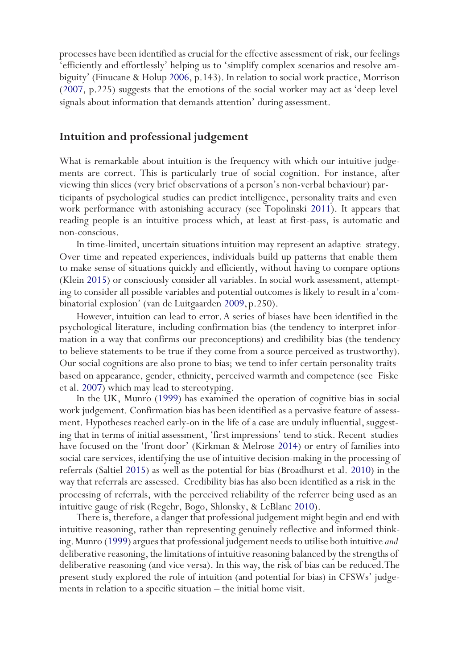processes have been identified as crucial for the effective assessment of risk, our feelings 'efficiently and effortlessly' helping us to 'simplify complex scenarios and resolve ambiguity' (Finucane & Holup [2006,](#page-6-4) p.143). In relation to social work practice, Morrison [\(2007,](#page-9-0) p.225) suggests that the emotions of the social worker may act as 'deep level signals about information that demands attention' during assessment.

#### **Intuition and professional judgement**

What is remarkable about intuition is the frequency with which our intuitive judgements are correct. This is particularly true of social cognition. For instance, after viewing thin slices (very brief observations of a person's non-verbal behaviour) participants of psychological studies can predict intelligence, personality traits and even work performance with astonishing accuracy (see Topolinski [2011\)](#page-0-0). It appears that reading people is an intuitive process which, at least at first-pass, is automatic and non-conscious.

<span id="page-2-0"></span>In time-limited, uncertain situations intuition may represent an adaptive strategy. Over time and repeated experiences, individuals build up patterns that enable them to make sense of situations quickly and efficiently, without having to compare options (Klein 2015) or consciously consider all variables. In social work assessment, attempting to consider all possible variables and potential outcomes is likely to result in a'combinatorial explosion' (van de Luitgaarden [2009,](#page-6-5)p.250).

However, intuition can lead to error.A series of biases have been identified in the psychological literature, including confirmation bias (the tendency to interpret information in a way that confirms our preconceptions) and credibility bias (the tendency to believe statements to be true if they come from a source perceived as trustworthy). Our social cognitions are also prone to bias; we tend to infer certain personality traits based on appearance, gender, ethnicity, perceived warmth and competence (see Fiske et al. [2007\)](#page-6-3) which may lead to stereotyping.

In the UK, Munro [\(1999\)](#page-6-6) has examined the operation of cognitive bias in social work judgement. Confirmation bias has been identified as a pervasive feature of assessment. Hypotheses reached early-on in the life of a case are unduly influential, suggesting that in terms of initial assessment, 'first impressions' tend to stick. Recent studies have focused on the 'front door' (Kirkman & Melrose [2014\)](#page-3-0) or entry of families into social care services, identifying the use of intuitive decision-making in the processing of referrals (Saltiel [2015\)](#page-3-1) as well as the potential for bias (Broadhurst et al. [2010\)](#page-5-0) in the way that referrals are assessed. Credibility bias has also been identified as a risk in the processing of referrals, with the perceived reliability of the referrer being used as an intuitive gauge of risk (Regehr, Bogo, Shlonsky, & LeBlanc [2010\)](#page-3-2).

There is, therefore, a danger that professional judgement might begin and end with intuitive reasoning, rather than representing genuinely reflective and informed think-ing. Munro [\(1999\)](#page-6-6) argues that professional judgement needs to utilise both intuitive and deliberative reasoning, the limitations of intuitive reasoning balanced by the strengths of deliberative reasoning (and vice versa). In this way, the risk of bias can be reduced.The present study explored the role of intuition (and potential for bias) in CFSWs' judgements in relation to a specific situation – the initial home visit.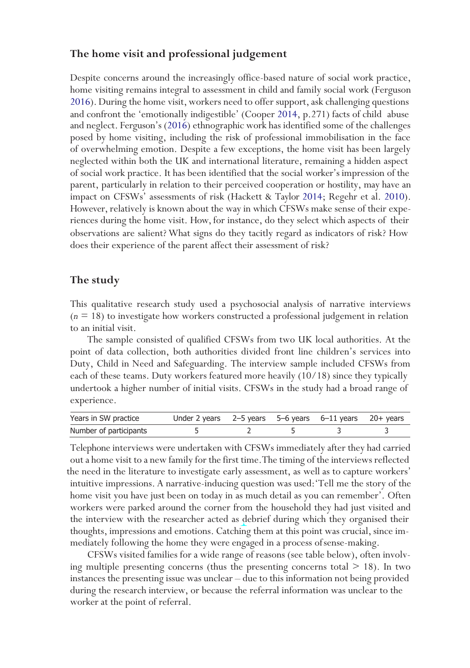#### **The home visit and professional judgement**

Despite concerns around the increasingly office-based nature of social work practice, home visiting remains integral to assessment in child and family social work (Ferguson [2016\)](#page-6-7). During the home visit, workers need to offer support, ask challenging questions and confront the 'emotionally indigestible' (Cooper [2014,](#page-9-1) p.271) facts of child abuse and neglect. Ferguson's [\(2016\)](#page-6-7) ethnographic work has identified some of the challenges posed by home visiting, including the risk of professional immobilisation in the face of overwhelming emotion. Despite a few exceptions, the home visit has been largely neglected within both the UK and international literature, remaining a hidden aspect of social work practice. It has been identified that the social worker's impression of the parent, particularly in relation to their perceived cooperation or hostility, may have an impact on CFSWs' assessments of risk (Hackett & Taylor [2014;](#page-6-8) Regehr et al. [2010\)](#page-3-2). However, relatively is known about the way in which CFSWs make sense of their experiences during the home visit. How, for instance, do they select which aspects of their observations are salient? What signs do they tacitly regard as indicators of risk? How does their experience of the parent affect their assessment of risk?

#### <span id="page-3-0"></span>**The study**

This qualitative research study used a psychosocial analysis of narrative interviews (*n* = 18) to investigate how workers constructed a professional judgement in relation to an initial visit.

The sample consisted of qualified CFSWs from two UK local authorities. At the point of data collection, both authorities divided front line children's services into Duty, Child in Need and Safeguarding. The interview sample included CFSWs from each of these teams. Duty workers featured more heavily (10/18) since they typically undertook a higher number of initial visits. CFSWs in the study had a broad range of experience.

<span id="page-3-2"></span><span id="page-3-1"></span>

| Years in SW practice   | Under 2 years $2-5$ years $5-6$ years $6-11$ years $20+$ years |  |  |
|------------------------|----------------------------------------------------------------|--|--|
| Number of participants |                                                                |  |  |

Telephone interviews were undertaken with CFSWs immediately after they had carried out a home visit to a new family for the first time.The timing of the interviews reflected the need in the literature to investigate early assessment, as well as to capture workers' intuitive impressions. A narrative-inducing question was used:'Tell me the story of the home visit you have just been on today in as much detail as you can remember'. Often workers were parked around the corner from the household they had just visited and the interview with the researcher acted as debrief during which they organised their thoughts, impressions and emotions. Catching them at this point was crucial, since immediately following the home they were engaged in a process of sense-making.

CFSWs visited families for a wide range of reasons (see table below), often involving multiple presenting concerns (thus the presenting concerns total  $> 18$ ). In two instances the presenting issue was unclear – due to this information not being provided during the research interview, or because the referral information was unclear to the worker at the point of referral.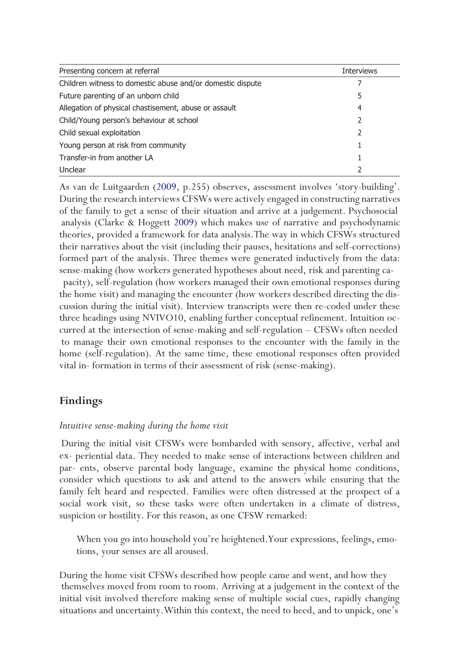<span id="page-4-0"></span>

| <b>Interviews</b> |  |
|-------------------|--|
|                   |  |
| 5                 |  |
| 4                 |  |
|                   |  |
|                   |  |
|                   |  |
|                   |  |
|                   |  |
|                   |  |

As van de Luitgaarden [\(2009](#page-6-5), p.255) observes, assessment involves 'story-building'. During the research interviews CFSWs were actively engaged in constructing narratives of the family to get a sense of their situation and arrive at a judgement. Psychosocial analysis (Clarke & Hoggett [2009\)](#page-9-2) which makes use of narrative and psychodynamic theories, provided a framework for data analysis.The way in which CFSWs structured their narratives about the visit (including their pauses, hesitations and self-corrections) formed part of the analysis. Three themes were generated inductively from the data: sense-making (how workers generated hypotheses about need, risk and parenting ca pacity), self-regulation (how workers managed their own emotional responses during the home visit) and managing the encounter (how workers described directing the discussion during the initial visit). Interview transcripts were then re-coded under these three headings using NVIVO10, enabling further conceptual refinement. Intuition occurred at the intersection of sense-making and self-regulation – CFSWs often needed to manage their own emotional responses to the encounter with the family in the home (self-regulation). At the same time, these emotional responses often provided vital in- formation in terms of their assessment of risk (sense-making).

### **Findings**

#### *Intuitive sense-making during the home visit*

<span id="page-4-1"></span>During the initial visit CFSWs were bombarded with sensory, affective, verbal and ex- periential data. They needed to make sense of interactions between children and par- ents, observe parental body language, examine the physical home conditions, consider which questions to ask and attend to the answers while ensuring that the family felt heard and respected. Families were often distressed at the prospect of a social work visit, so these tasks were often undertaken in a climate of distress, suspicion or hostility. For this reason, as one CFSW remarked:

When you go into household you're heightened.Your expressions, feelings, emotions, your senses are all aroused.

During the home visit CFSWs described how people came and went, and how they themselves moved from room to room. Arriving at a judgement in the context of the initial visit involved therefore making sense of multiple social cues, rapidly changing situations and uncertainty.Within this context, the need to heed, and to unpick, one's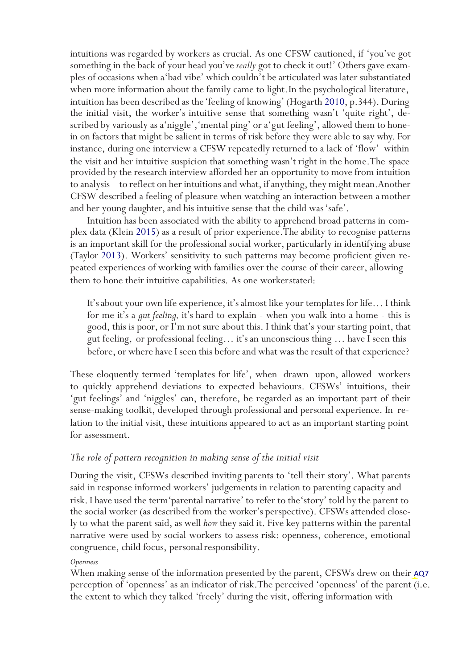intuitions was regarded by workers as crucial. As one CFSW cautioned, if 'you've got something in the back of your head you've *really* got to check it out!' Others gave examples of occasions when a'bad vibe' which couldn't be articulated was later substantiated when more information about the family came to light. In the psychological literature, intuition has been described as the 'feeling of knowing' (Hogarth [2010,](#page-6-9) p.344). During the initial visit, the worker's intuitive sense that something wasn't 'quite right', described by variously as a'niggle','mental ping' or a'gut feeling', allowed them to honein on factors that might be salient in terms of risk before they were able to say why. For instance, during one interview a CFSW repeatedly returned to a lack of 'flow' within the visit and her intuitive suspicion that something wasn't right in the home.The space provided by the research interview afforded her an opportunity to move from intuition to analysis – to reflect on her intuitions and what, if anything, they might mean. Another CFSW described a feeling of pleasure when watching an interaction between a mother and her young daughter, and his intuitive sense that the child was 'safe'.

Intuition has been associated with the ability to apprehend broad patterns in complex data (Klein 2015) as a result of prior experience.The ability to recognise patterns is an important skill for the professional social worker, particularly in identifying abuse (Taylor [2013\)](#page-9-3). Workers' sensitivity to such patterns may become proficient given repeated experiences of working with families over the course of their career, allowing them to hone their intuitive capabilities. As one workerstated:

It'sabout your own life experience, it'salmost like your templates for life… I think for me it's a *gut feeling,* it's hard to explain - when you walk into a home - this is good, this is poor, or I'm not sure about this. I think that's your starting point, that gut feeling, or professional feeling… it's an unconscious thing … have I seen this before, or where have I seen this before and what was the result of that experience?

These eloquently termed 'templates for life', when drawn upon, allowed workers to quickly apprehend deviations to expected behaviours. CFSWs' intuitions, their 'gut feelings' and 'niggles' can, therefore, be regarded as an important part of their sense-making toolkit, developed through professional and personal experience. In relation to the initial visit, these intuitions appeared to act as an important starting point for assessment.

#### *The role of pattern recognition in making sense of the initial visit*

During the visit, CFSWs described inviting parents to 'tell their story'. What parents said in response informed workers' judgements in relation to parenting capacity and risk. I have used the term'parental narrative' to refer to the'story' told by the parent to the social worker (as described from the worker's perspective). CFSWs attended closely to what the parent said, as well *how* they said it. Five key patterns within the parental narrative were used by social workers to assess risk: openness, coherence, emotional congruence, child focus, personalresponsibility.

#### <span id="page-5-0"></span>*Openness*

When making sense of the information presented by the parent, CFSWs drew on their AQ7 perception of 'openness' as an indicator of risk.The perceived 'openness' of the parent (i.e. the extent to which they talked 'freely' during the visit, offering information with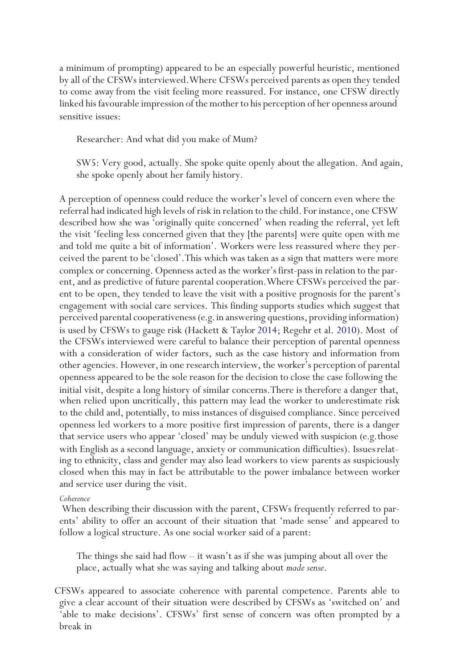a minimum of prompting) appeared to be an especially powerful heuristic, mentioned by all of the CFSWs interviewed.Where CFSWs perceived parents as open they tended to come away from the visit feeling more reassured. For instance, one CFSW directly linked his favourable impression of the mother to his perception of her openness around sensitive issues:

<span id="page-6-7"></span>Researcher: And what did you make of Mum?

<span id="page-6-9"></span><span id="page-6-4"></span><span id="page-6-3"></span>SW5: Very good, actually. She spoke quite openly about the allegation. And again, she spoke openly about her family history.

<span id="page-6-8"></span><span id="page-6-2"></span>A perception of openness could reduce the worker's level of concern even where the referral had indicated high levels of risk in relation to the child. Forinstance, one CFSW described how she was 'originally quite concerned' when reading the referral, yet left the visit 'feeling less concerned given that they [the parents] were quite open with me and told me quite a bit of information'. Workers were less reassured where they perceived the parent to be'closed'.This which was taken as a sign that matters were more complex or concerning. Openness acted as the worker's first-pass in relation to the parent, and as predictive of future parental cooperation.Where CFSWs perceived the parent to be open, they tended to leave the visit with a positive prognosis for the parent's engagement with social care services. This finding supports studies which suggest that perceived parental cooperativeness (e.g. in answering questions, providing information) is used by CFSWs to gauge risk (Hackett & Taylo[r 2014;](#page-6-8) Regehr et al[. 2010\)](#page-3-2). Most of the CFSWs interviewed were careful to balance their perception of parental openness with a consideration of wider factors, such as the case history and information from other agencies.However, in one research interview, the worker's perception of parental openness appeared to be the sole reason for the decision to close the case following the initial visit, despite a long history of similar concerns.There is therefore a danger that, when relied upon uncritically, this pattern may lead the worker to underestimate risk to the child and, potentially, to miss instances of disguised compliance. Since perceived openness led workers to a more positive first impression of parents, there is a danger that service users who appear 'closed' may be unduly viewed with suspicion (e.g.those with English as a second language, anxiety or communication difficulties). Issuesrelating to ethnicity, class and gender may also lead workers to view parents as suspiciously closed when this may in fact be attributable to the power imbalance between worker and service user during the visit.

#### <span id="page-6-10"></span><span id="page-6-6"></span><span id="page-6-0"></span>*Coherence*

When describing their discussion with the parent, CFSWs frequently referred to parents' ability to offer an account of their situation that 'made sense' and appeared to follow a logical structure. As one social worker said of a parent:

<span id="page-6-5"></span><span id="page-6-1"></span>The things she said had flow – it wasn't as if she was jumping about all over the place, actually what she was saying and talking about *made sense*.

CFSWs appeared to associate coherence with parental competence. Parents able to give a clear account of their situation were described by CFSWs as 'switched on' and 'able to make decisions'. CFSWs' first sense of concern was often prompted by a break in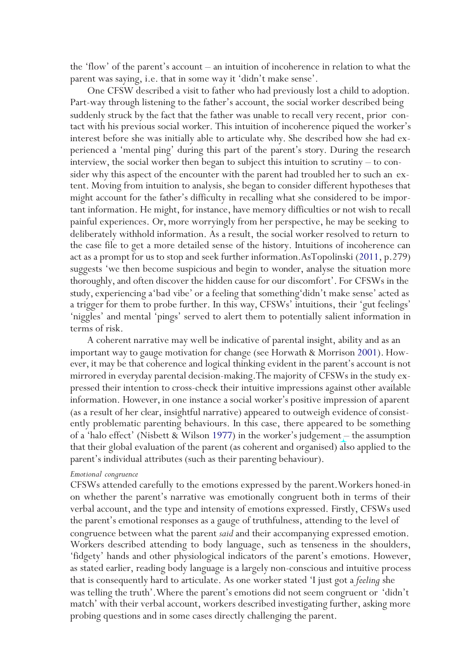the 'flow' of the parent's account – an intuition of incoherence in relation to what the parent was saying, i.e. that in some way it 'didn't make sense'.

One CFSW described a visit to father who had previously lost a child to adoption. Part-way through listening to the father's account, the social worker described being suddenly struck by the fact that the father was unable to recall very recent, prior contact with his previous social worker. This intuition of incoherence piqued the worker's interest before she was initially able to articulate why. She described how she had experienced a 'mental ping' during this part of the parent's story. During the research interview, the social worker then began to subject this intuition to scrutiny – to consider why this aspect of the encounter with the parent had troubled her to such an extent. Moving from intuition to analysis, she began to consider different hypotheses that might account for the father's difficulty in recalling what she considered to be important information. He might, for instance, have memory difficulties or not wish to recall painful experiences. Or, more worryingly from her perspective, he may be seeking to deliberately withhold information. As a result, the social worker resolved to return to the case file to get a more detailed sense of the history. Intuitions of incoherence can act as a prompt for us to stop and seek further information.AsTopolinski [\(2011,](#page-0-0) p.279) suggests 'we then become suspicious and begin to wonder, analyse the situation more thoroughly,and often discover the hidden cause for our discomfort'. For CFSWs in the study, experiencing a'bad vibe' or a feeling that something'didn't make sense'acted as a trigger for them to probe further. In this way, CFSWs' intuitions, their 'gut feelings' 'niggles' and mental 'pings' served to alert them to potentially salient information in terms of risk.

A coherent narrative may well be indicative of parental insight, ability and as an important way to gauge motivation for change (see Horwath & Morrison [2001\)](#page-9-4). However, it may be that coherence and logical thinking evident in the parent's account is not mirrored in everyday parental decision-making.The majority of CFSWs in the study expressed their intention to cross-check their intuitive impressions against other available information. However, in one instance a social worker's positive impression of aparent (as a result of her clear, insightful narrative) appeared to outweigh evidence ofconsistently problematic parenting behaviours. In this case, there appeared to be something of a 'halo effect' (Nisbett & Wilson [1977\)](#page-9-5) in the worker's judgement – the assumption that their global evaluation of the parent (as coherent and organised) also applied to the parent's individual attributes (such as their parenting behaviour).

#### <span id="page-7-0"></span>*Emotional congruence*

CFSWs attended carefully to the emotions expressed by the parent.Workers honed-in on whether the parent's narrative was emotionally congruent both in terms of their verbal account, and the type and intensity of emotions expressed. Firstly, CFSWs used the parent's emotional responses as a gauge of truthfulness, attending to the level of congruence between what the parent *said* and their accompanying expressed emotion. Workers described attending to body language, such as tenseness in the shoulders, 'fidgety' hands and other physiological indicators of the parent's emotions. However, as stated earlier, reading body language is a largely non-conscious and intuitive process that is consequently hard to articulate. As one worker stated 'I just got a *feeling* she was telling the truth'.Where the parent's emotions did not seem congruent or 'didn't match' with their verbal account, workers described investigating further, asking more probing questions and in some cases directly challenging the parent.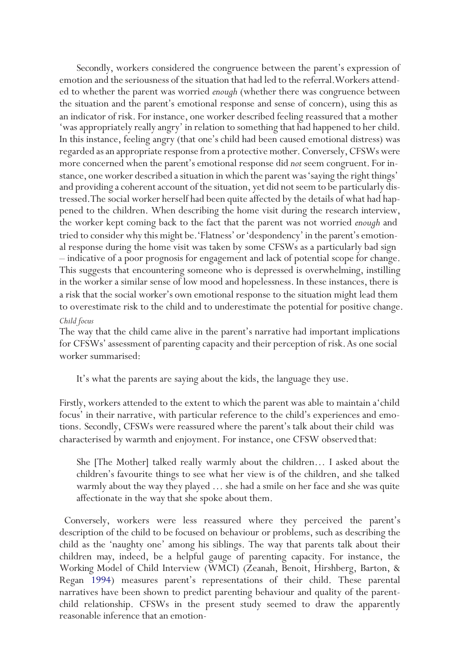Secondly, workers considered the congruence between the parent's expression of emotion and the seriousness of the situation that had led to the referral.Workersattended to whether the parent was worried *enough* (whether there was congruence between the situation and the parent's emotional response and sense of concern), using this as an indicator of risk. For instance, one worker described feeling reassured that a mother 'was appropriately really angry' in relation to something that had happened to her child. In this instance, feeling angry (that one's child had been caused emotional distress) was regarded asan appropriate response from a protective mother.Conversely,CFSWs were more concerned when the parent's emotional response did *not* seem congruent. For instance, oneworker described asituation in which the parent was'saying the right things' and providing a coherent account of the situation, yet did not seem to be particularly distressed.The social worker herself had been quite affected by the details of what had happened to the children. When describing the home visit during the research interview, the worker kept coming back to the fact that the parent was not worried *enough* and tried to consider why this might be.'Flatness' or'despondency' in the parent's emotional response during the home visit was taken by some CFSWs as a particularly bad sign – indicative of a poor prognosis for engagement and lack of potential scope for change. This suggests that encountering someone who is depressed is overwhelming, instilling in the worker a similar sense of low mood and hopelessness. In these instances, there is a risk that the social worker's own emotional response to the situation might lead them to overestimate risk to the child and to underestimate the potential for positive change. *Child focus*

The way that the child came alive in the parent's narrative had important implications for CFSWs'assessment of parenting capacity and their perception of risk.As one social worker summarised:

It's what the parents are saying about the kids, the language they use.

Firstly, workers attended to the extent to which the parent was able to maintain a 'child focus' in their narrative, with particular reference to the child's experiences and emotions. Secondly, CFSWs were reassured where the parent's talk about their child was characterised by warmth and enjoyment. For instance, one CFSW observed that:

She [The Mother] talked really warmly about the children… I asked about the children's favourite things to see what her view is of the children, and she talked warmly about the way they played … she had a smile on her face and she was quite affectionate in the way that she spoke about them.

<span id="page-8-1"></span><span id="page-8-0"></span> Conversely, workers were less reassured where they perceived the parent's description of the child to be focused on behaviour or problems, such as describing the child as the 'naughty one' among his siblings. The way that parents talk about their children may, indeed, be a helpful gauge of parenting capacity. For instance, the Working Model of Child Interview (WMCI) (Zeanah, Benoit, Hirshberg, Barton, & Regan [1994\)](#page-10-0) measures parent's representations of their child. These parental narratives have been shown to predict parenting behaviour and quality of the parentchild relationship. CFSWs in the present study seemed to draw the apparently reasonable inference that an emotion-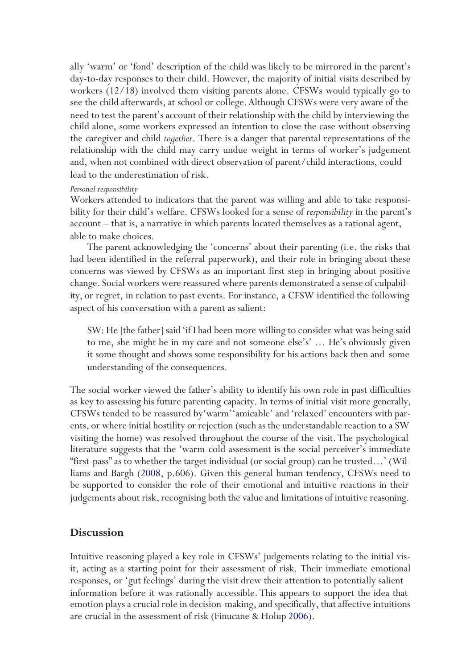<span id="page-9-2"></span><span id="page-9-1"></span>ally 'warm' or 'fond' description of the child was likely to be mirrored in the parent's day-to-day responses to their child. However, the majority of initial visits described by workers (12/18) involved them visiting parents alone. CFSWs would typically go to see the child afterwards, at school or college. Although CFSWs were very aware of the need to test the parent's account of their relationship with the child by interviewing the child alone, some workers expressed an intention to close the case without observing the caregiver and child *together*. There is a danger that parental representations of the relationship with the child may carry undue weight in terms of worker's judgement and, when not combined with direct observation of parent/child interactions, could lead to the underestimation of risk.

#### *Personal responsibility*

Workers attended to indicators that the parent was willing and able to take responsibility for their child's welfare. CFSWs looked for a sense of *responsibility* in the parent's account – that is, a narrative in which parents located themselves as a rational agent, able to make choices.

<span id="page-9-4"></span>The parent acknowledging the 'concerns' about their parenting (i.e. the risks that had been identified in the referral paperwork), and their role in bringing about these concerns was viewed by CFSWs as an important first step in bringing about positive change. Social workers were reassured where parents demonstrated a sense of culpability, or regret, in relation to past events. For instance, a CFSW identified the following aspect of his conversation with a parent as salient:

<span id="page-9-7"></span><span id="page-9-0"></span>SW:He [the father] said 'if I had been more willing to consider what was being said to me, she might be in my care and not someone else's' … He's obviously given it some thought and shows some responsibility for his actions back then and some understanding of the consequences.

<span id="page-9-5"></span>The social worker viewed the father's ability to identify his own role in past difficulties as key to assessing his future parenting capacity. In terms of initial visit more generally, CFSWs tended to be reassured by'warm''amicable' and 'relaxed' encounters with parents, or where initial hostility or rejection (such as the understandable reaction to a SW visiting the home) was resolved throughout the course of the visit.The psychological literature suggests that the 'warm-cold assessment is the social perceiver's immediate "first-pass" as to whether the target individual (or social group) can be trusted…' (Williams and Bargh [\(2008,](#page-9-6) p.606). Given this general human tendency, CFSWs need to be supported to consider the role of their emotional and intuitive reactions in their judgements about risk, recognising both the value and limitations of intuitive reasoning.

#### <span id="page-9-3"></span>**Discussion**

<span id="page-9-6"></span>Intuitive reasoning played a key role in CFSWs' judgements relating to the initial visit, acting as a starting point for their assessment of risk. Their immediate emotional responses, or 'gut feelings' during the visit drew their attention to potentially salient information before it was rationally accessible. This appears to support the idea that emotion plays a crucial role in decision-making, and specifically, that affective intuitions are crucial in the assessment of risk (Finucane & Holup [2006\)](#page-6-4).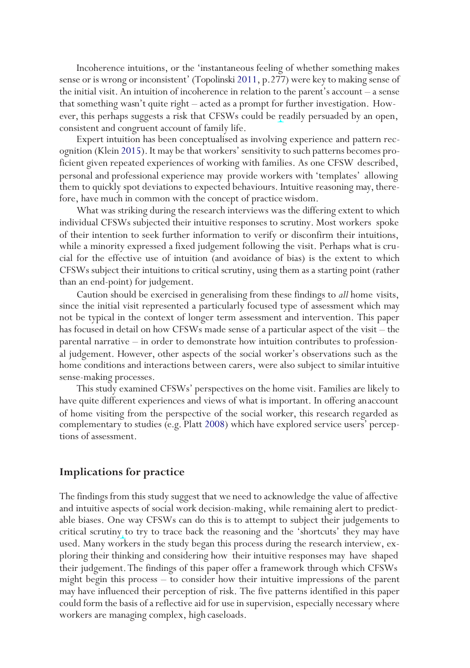<span id="page-10-0"></span>Incoherence intuitions, or the 'instantaneous feeling of whether something makes sense or is wrong or inconsistent' (Topolinski [2011,](#page-0-0) p.277) were key to making sense of the initial visit. An intuition of incoherence in relation to the parent's account – a sense that something wasn't quite right – acted as a prompt for further investigation. However, this perhaps suggests a risk that CFSWs could be readily persuaded by an open, consistent and congruent account of family life.

Expert intuition has been conceptualised as involving experience and pattern recognition (Klein 2015). It may be that workers' sensitivity to such patterns becomes proficient given repeated experiences of working with families. As one CFSW described, personal and professional experience may provide workers with 'templates' allowing them to quickly spot deviations to expected behaviours. Intuitive reasoning may, therefore, have much in common with the concept of practicewisdom.

What was striking during the research interviews was the differing extent to which individual CFSWs subjected their intuitive responses to scrutiny. Most workers spoke of their intention to seek further information to verify or disconfirm their intuitions, while a minority expressed a fixed judgement following the visit. Perhaps what is crucial for the effective use of intuition (and avoidance of bias) is the extent to which CFSWs subject their intuitions to critical scrutiny, using them as a starting point (rather than an end-point) for judgement.

Caution should be exercised in generalising from these findings to *all* home visits, since the initial visit represented a particularly focused type of assessment which may not be typical in the context of longer term assessment and intervention. This paper has focused in detail on how CFSWs made sense of a particular aspect of the visit – the parental narrative – in order to demonstrate how intuition contributes to professional judgement. However, other aspects of the social worker's observations such as the home conditions and interactions between carers, were also subject to similar intuitive sense-making processes.

This study examined CFSWs' perspectives on the home visit. Families are likely to have quite different experiences and views of what is important. In offering anaccount of home visiting from the perspective of the social worker, this research regarded as complementary to studies (e.g. Platt [2008\)](#page-9-7) which have explored service users' perceptions of assessment.

#### **Implications for practice**

The findings from this study suggest that we need to acknowledge the value of affective and intuitive aspects of social work decision-making, while remaining alert to predictable biases. One way CFSWs can do this is to attempt to subject their judgements to critical scrutiny to try to trace back the reasoning and the 'shortcuts' they may have used. Many workers in the study began this process during the research interview, exploring their thinking and considering how their intuitive responses may have shaped their judgement.The findings of this paper offer a framework through which CFSWs might begin this process – to consider how their intuitive impressions of the parent may have influenced their perception of risk. The five patterns identified in this paper could form the basis of areflective aid for use in supervision, especially necessary where workers are managing complex, high caseloads.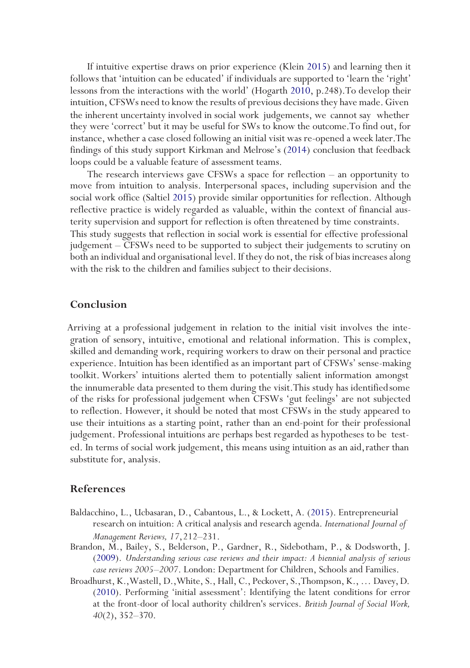If intuitive expertise draws on prior experience (Klein 2015) and learning then it follows that 'intuition can be educated' if individuals are supported to 'learn the 'right' lessons from the interactions with the world' (Hogarth [2010,](#page-6-9) p.248).To develop their intuition,CFSWs need to know the results of previous decisions they have made.Given the inherent uncertainty involved in social work judgements, we cannot say whether they were 'correct' but it may be useful for SWs to know the outcome.To find out, for instance, whether acase closed following an initial visit was re-opened a week later.The findings of this study support Kirkman and Melrose's [\(2014\)](#page-3-0) conclusion that feedback loops could be a valuable feature of assessment teams.

The research interviews gave CFSWs a space for reflection – an opportunity to move from intuition to analysis. Interpersonal spaces, including supervision and the social work office (Saltiel [2015\)](#page-3-1) provide similar opportunities for reflection. Although reflective practice is widely regarded as valuable, within the context of financial austerity supervision and support for reflection is often threatened by time constraints. This study suggests that reflection in social work is essential for effective professional judgement – CFSWs need to be supported to subject their judgements to scrutiny on both an individual and organisational level. If they do not, the risk of bias increases along with the risk to the children and families subject to their decisions.

#### **Conclusion**

Arriving at a professional judgement in relation to the initial visit involves the integration of sensory, intuitive, emotional and relational information. This is complex, skilled and demanding work, requiring workers to draw on their personal and practice experience. Intuition has been identified as an important part of CFSWs' sense-making toolkit. Workers' intuitions alerted them to potentially salient information amongst the innumerable data presented to them during the visit.This study has identifiedsome of the risks for professional judgement when CFSWs 'gut feelings' are not subjected to reflection. However, it should be noted that most CFSWs in the study appeared to use their intuitions as a starting point, rather than an end-point for their professional judgement. Professional intuitions are perhaps best regarded as hypotheses to be tested. In terms of social work judgement, this means using intuition as an aid, rather than substitute for, analysis.

#### **References**

- Baldacchino, L., Ucbasaran, D., Cabantous, L., & Lockett, A. (2015). Entrepreneurial research on intuition: A critical analysis and research agenda. *International Journal of Management Reviews, 17*,212–231.
- Brandon, M., Bailey, S., Belderson, P., Gardner, R., Sidebotham, P., & Dodsworth, J. (2009). *Understanding serious case reviews and their impact: A biennial analysis of serious case reviews 2005–2007*. London: Department for Children, Schools and Families.
- Broadhurst, K.,Wastell, D.,White, S., Hall, C., Peckover, S.,Thompson, K., … Davey,D. (2010). Performing 'initial assessment': Identifying the latent conditions for error at the front-door of local authority children's services. *British Journal of Social Work, 40*(2), 352–370.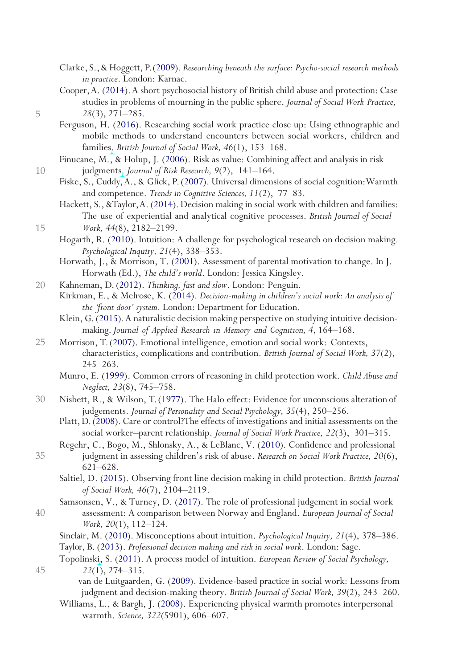- Clarke, S.,& Hoggett, P.[\(2009\)](#page-1-0). *Researching beneath the surface: Psycho-social research methods in practice*. London: Karnac.
- Cooper,A. (2014).A short psychosocial history of British child abuse and protection: Case studies in problems of mourning in the public sphere. *Journal of Social Work Practice,* 5 *28*(3), 271–285.
	- Ferguson, H. [\(2016\)](#page-0-1). Researching social work practice close up: Using ethnographic and mobile methods to understand encounters between social workers, children and families. *British Journal of Social Work, 46*(1), 153–168.
- Finucane, M., & Holup, J. (2006). Risk as value: Combining affect and analysis in risk 10 judgments. *Journal of Risk Research, 9*(2), 141–164.
	- Fiske, S., Cuddy,A., & Glick, P.(2007). Universal dimensions of social cognition:Warmth and competence. *Trends in Cognitive Sciences, 11*(2), 77–83.
- Hackett, S., &Taylor, A. (2014). Decision making in social work with children and families: The use of experiential and analytical cognitive processes. *British Journal of Social* 15 *Work, 44*(8), 2182–2199.
	- Hogarth, R. (2010). Intuition: A challenge for psychological research on decision making. *Psychological Inquiry, 21*(4), 338–353.
	- Horwath, J., & Morrison, T. [\(2001\)](#page-4-0). Assessment of parental motivation to change. In J. Horwath (Ed.), *The child's world*. London: Jessica Kingsley.
- 20 Kahneman, D. (2012). *Thinking, fast and slow*. London: Penguin. Kirkman, E., & Melrose, K. (2014). *Decision-making in children's social work: An analysis of the 'front door' system*. London: Department for Education.
	- Klein, G. (2015). A naturalistic decision making perspective on studying intuitive decisionmaking. *Journal of Applied Research in Memory and Cognition, 4*, 164–168.
- 25 Morrison, T. (2007). Emotional intelligence, emotion and social work: Contexts, characteristics, complications and contribution. *British Journal of Social Work, 37*(2), 245–263.
	- Munro, E. (1999). Common errors of reasoning in child protection work. *Child Abuse and Neglect, 23*(8), 745–758.
- 30 Nisbett, R., & Wilson, T. [\(1977\)](#page-4-1). The Halo effect: Evidence for unconscious alteration of judgements. *Journal of Personality and Social Psychology, 35*(4), 250–256.
	- Platt,D.[\(2008\)](#page-7-0).Care or control?The effects of investigationsand initial assessments on the social worker–parent relationship. *Journal of Social Work Practice, 22*(3), 301–315.
- Regehr, C., Bogo, M., Shlonsky, A., & LeBlanc, V. (2010). Confidence and professional 35 judgment in assessing children's risk of abuse. *Research on Social Work Practice, 20*(6), 621–628.
	- Saltiel, D. (2015). Observing front line decision making in child protection. *British Journal of Social Work, 46*(7), 2104–2119.
- Samsonsen, V., & Turney, D. (2017). The role of professional judgement in social work 40 assessment: A comparison between Norway and England. *European Journal of Social Work, 20*(1), 112–124.

Sinclair, M. (2010). Misconceptions about intuition. *Psychological Inquiry, 21*(4), 378–386. Taylor, B. [\(2013\)](#page-2-0). *Professional decision making and risk in social work*. London: Sage.

Topolinski, S. (2011). A process model of intuition. *European Review of Social Psychology,* 45 *22*(1), 274–315.

> van de Luitgaarden, G. (2009). Evidence-based practice in social work: Lessons from judgment and decision-making theory. *British Journal of Social Work, 39*(2), 243–260.

Williams, L., & Bargh, J. [\(2008\)](#page-6-10). Experiencing physical warmth promotes interpersonal warmth. *Science, 322*(5901), 606–607.